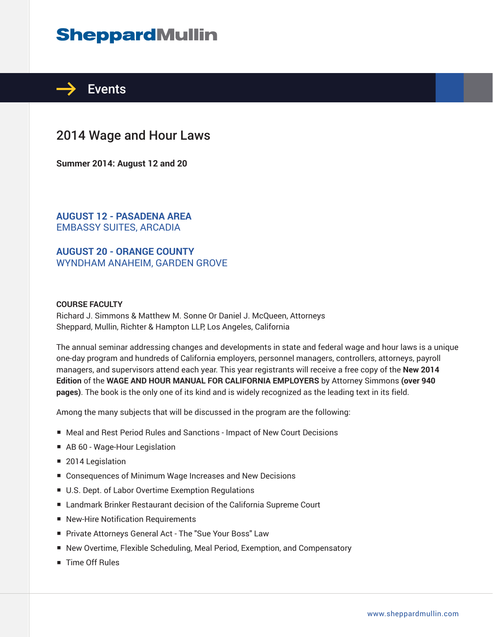# **SheppardMullin**



## 2014 Wage and Hour Laws

**Summer 2014: August 12 and 20**

**AUGUST 12 - PASADENA AREA** EMBASSY SUITES, ARCADIA

**AUGUST 20 - ORANGE COUNTY** WYNDHAM ANAHEIM, GARDEN GROVE

#### **COURSE FACULTY**

Richard J. Simmons & Matthew M. Sonne Or Daniel J. McQueen, Attorneys Sheppard, Mullin, Richter & Hampton LLP, Los Angeles, California

The annual seminar addressing changes and developments in state and federal wage and hour laws is a unique one-day program and hundreds of California employers, personnel managers, controllers, attorneys, payroll managers, and supervisors attend each year. This year registrants will receive a free copy of the **New 2014 Edition** of the **WAGE AND HOUR MANUAL FOR CALIFORNIA EMPLOYERS** by Attorney Simmons **(over 940 pages)**. The book is the only one of its kind and is widely recognized as the leading text in its field.

Among the many subjects that will be discussed in the program are the following:

- Meal and Rest Period Rules and Sanctions Impact of New Court Decisions
- AB 60 Wage-Hour Legislation
- 2014 Legislation
- Consequences of Minimum Wage Increases and New Decisions
- U.S. Dept. of Labor Overtime Exemption Regulations
- Landmark Brinker Restaurant decision of the California Supreme Court
- New-Hire Notification Requirements
- Private Attorneys General Act The "Sue Your Boss" Law
- New Overtime, Flexible Scheduling, Meal Period, Exemption, and Compensatory
- Time Off Rules